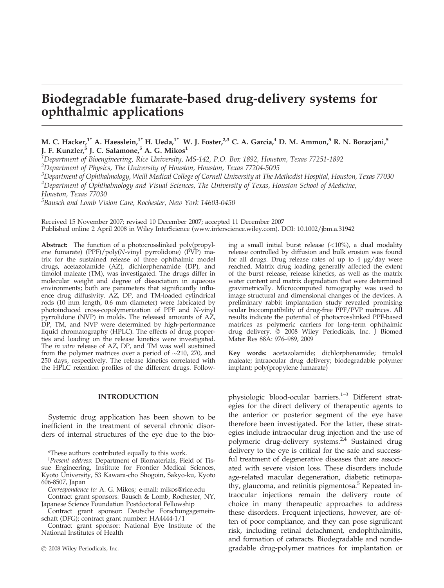# Biodegradable fumarate-based drug-delivery systems for ophthalmic applications

## M. C. Hacker,<sup>1\*</sup> A. Haesslein,<sup>1\*</sup> H. Ueda,<sup>1\*†</sup> W. J. Foster,<sup>2,3</sup> C. A. Garcia,<sup>4</sup> D. M. Ammon,<sup>5</sup> R. N. Borazjani,<sup>5</sup> J. F. Kunzler,<sup>5</sup> J. C. Salamone,<sup>5</sup> A. G. Mikos<sup>1</sup>

<sup>1</sup>Department of Bioengineering, Rice University, MS-142, P.O. Box 1892, Houston, Texas 77251-1892

<sup>2</sup>Department of Physics, The University of Houston, Houston, Texas 77204-5005

 $^3$ Department of Ophthalmology, Weill Medical College of Cornell University at The Methodist Hospital, Houston, Texas 77030

4 Department of Ophthalmology and Visual Sciences, The University of Texas, Houston School of Medicine,

Houston, Texas 77030

5 Bausch and Lomb Vision Care, Rochester, New York 14603-0450

Received 15 November 2007; revised 10 December 2007; accepted 11 December 2007 Published online 2 April 2008 in Wiley InterScience (www.interscience.wiley.com). DOI: 10.1002/jbm.a.31942

Abstract: The function of a photocrosslinked poly(propylene fumarate) (PPF)/poly(N-vinyl pyrrolidone) (PVP) matrix for the sustained release of three ophthalmic model drugs, acetazolamide (AZ), dichlorphenamide (DP), and timolol maleate (TM), was investigated. The drugs differ in molecular weight and degree of dissociation in aqueous environments; both are parameters that significantly influence drug diffusivity. AZ, DP, and TM-loaded cylindrical rods (10 mm length, 0.6 mm diameter) were fabricated by photoinduced cross-copolymerization of PPF and N-vinyl pyrrolidone (NVP) in molds. The released amounts of AZ, DP, TM, and NVP were determined by high-performance liquid chromatography (HPLC). The effects of drug properties and loading on the release kinetics were investigated. The *in vitro* release of AZ, DP, and TM was well sustained from the polymer matrices over a period of  $\sim$ 210, 270, and 250 days, respectively. The release kinetics correlated with the HPLC retention profiles of the different drugs. Following a small initial burst release  $(<10\%)$ , a dual modality release controlled by diffusion and bulk erosion was found for all drugs. Drug release rates of up to  $4 \mu g/day$  were reached. Matrix drug loading generally affected the extent of the burst release, release kinetics, as well as the matrix water content and matrix degradation that were determined gravimetrically. Microcomputed tomography was used to image structural and dimensional changes of the devices. A preliminary rabbit implantation study revealed promising ocular biocompatibility of drug-free PPF/PVP matrices. All results indicate the potential of photocrosslinked PPF-based matrices as polymeric carriers for long-term ophthalmic drug delivery.  $\circ$  2008 Wiley Periodicals, Inc. J Biomed Mater Res 88A: 976–989, 2009

Key words: acetazolamide; dichlorphenamide; timolol maleate; intraocular drug delivery; biodegradable polymer implant; poly(propylene fumarate)

#### INTRODUCTION

Systemic drug application has been shown to be inefficient in the treatment of several chronic disorders of internal structures of the eye due to the bio-

\*These authors contributed equally to this work.

<sup>T</sup>Present address: Department of Biomaterials, Field of Tissue Engineering, Institute for Frontier Medical Sciences, Kyoto University, 53 Kawara-cho Shogoin, Sakyo-ku, Kyoto 606-8507, Japan

Correspondence to: A. G. Mikos; e-mail: mikos@rice.edu

Contract grant sponsors: Bausch & Lomb, Rochester, NY, Japanese Science Foundation Postdoctoral Fellowship

Contract grant sponsor: Deutsche Forschungsgemeinschaft (DFG); contract grant number: HA4444-1/1

Contract grant sponsor: National Eye Institute of the National Institutes of Health

2008 Wiley Periodicals, Inc.

physiologic blood-ocular barriers.<sup>1-3</sup> Different strategies for the direct delivery of therapeutic agents to the anterior or posterior segment of the eye have therefore been investigated. For the latter, these strategies include intraocular drug injection and the use of polymeric drug-delivery systems.<sup>2,4</sup> Sustained drug delivery to the eye is critical for the safe and successful treatment of degenerative diseases that are associated with severe vision loss. These disorders include age-related macular degeneration, diabetic retinopathy, glaucoma, and retinitis pigmentosa.<sup>5</sup> Repeated intraocular injections remain the delivery route of choice in many therapeutic approaches to address these disorders. Frequent injections, however, are often of poor compliance, and they can pose significant risk, including retinal detachment, endophthalmitis, and formation of cataracts. Biodegradable and nondegradable drug-polymer matrices for implantation or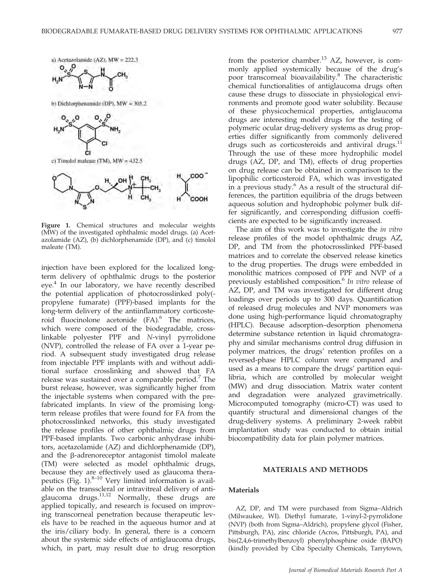

$$
H_2N\overset{s}{\longrightarrow}S\overset{S}{\underset{N\rightarrow N}{\longrightarrow}}H\underset{O}{\longrightarrow}CH_3
$$

b) Dichlorphenamide (DP),  $MW = 305.2$ 



Figure 1. Chemical structures and molecular weights (MW) of the investigated ophthalmic model drugs. (a) Acetazolamide (AZ), (b) dichlorphenamide (DP), and (c) timolol maleate (TM).

injection have been explored for the localized longterm delivery of ophthalmic drugs to the posterior eye.<sup>4</sup> In our laboratory, we have recently described the potential application of photocrosslinked poly( propylene fumarate) (PPF)-based implants for the long-term delivery of the antiinflammatory corticosteroid fluocinolone acetonide  $(FA)$ .<sup>6</sup> The matrices, which were composed of the biodegradable, crosslinkable polyester PPF and N-vinyl pyrrolidone (NVP), controlled the release of FA over a 1-year period. A subsequent study investigated drug release from injectable PPF implants with and without additional surface crosslinking and showed that FA release was sustained over a comparable period.<sup>7</sup> The burst release, however, was significantly higher from the injectable systems when compared with the prefabricated implants. In view of the promising longterm release profiles that were found for FA from the photocrosslinked networks, this study investigated the release profiles of other ophthalmic drugs from PPF-based implants. Two carbonic anhydrase inhibitors, acetazolamide (AZ) and dichlorphenamide (DP), and the  $\beta$ -adrenoreceptor antagonist timolol maleate (TM) were selected as model ophthalmic drugs, because they are effectively used as glaucoma therapeutics (Fig.  $1$ ).<sup>8–10</sup> Very limited information is available on the transscleral or intravitreal delivery of antiglaucoma drugs.<sup>11,12</sup> Normally, these drugs are applied topically, and research is focused on improving transcorneal penetration because therapeutic levels have to be reached in the aqueous humor and at the iris/ciliary body. In general, there is a concern about the systemic side effects of antiglaucoma drugs, which, in part, may result due to drug resorption

from the posterior chamber.<sup>13</sup> AZ, however, is commonly applied systemically because of the drug's poor transcorneal bioavailability.8 The characteristic chemical functionalities of antiglaucoma drugs often cause these drugs to dissociate in physiological environments and promote good water solubility. Because of these physicochemical properties, antiglaucoma drugs are interesting model drugs for the testing of polymeric ocular drug-delivery systems as drug properties differ significantly from commonly delivered drugs such as corticosteroids and antiviral drugs.<sup>11</sup> Through the use of these more hydrophilic model drugs (AZ, DP, and TM), effects of drug properties on drug release can be obtained in comparison to the lipophilic corticosteroid FA, which was investigated in a previous study. $6$  As a result of the structural differences, the partition equilibria of the drugs between aqueous solution and hydrophobic polymer bulk differ significantly, and corresponding diffusion coefficients are expected to be significantly increased.

The aim of this work was to investigate the in vitro release profiles of the model ophthalmic drugs AZ, DP, and TM from the photocrosslinked PPF-based matrices and to correlate the observed release kinetics to the drug properties. The drugs were embedded in monolithic matrices composed of PPF and NVP of a previously established composition.<sup>6</sup> In vitro release of AZ, DP, and TM was investigated for different drug loadings over periods up to 300 days. Quantification of released drug molecules and NVP monomers was done using high-performance liquid chromatography (HPLC). Because adsorption–desorption phenomena determine substance retention in liquid chromatography and similar mechanisms control drug diffusion in polymer matrices, the drugs' retention profiles on a reversed-phase HPLC column were compared and used as a means to compare the drugs' partition equilibria, which are controlled by molecular weight (MW) and drug dissociation. Matrix water content and degradation were analyzed gravimetrically. Microcomputed tomography (micro-CT) was used to quantify structural and dimensional changes of the drug-delivery systems. A preliminary 2-week rabbit implantation study was conducted to obtain initial biocompatibility data for plain polymer matrices.

## MATERIALS AND METHODS

## **Materials**

AZ, DP, and TM were purchased from Sigma–Aldrich (Milwaukee, WI). Diethyl fumarate, 1-vinyl-2-pyrrolidone (NVP) (both from Sigma–Aldrich), propylene glycol (Fisher, Pittsburgh, PA), zinc chloride (Acros, Pittsburgh, PA), and bis(2,4,6-trimethylbenzoyl) phenylphosphine oxide (BAPO) (kindly provided by Ciba Specialty Chemicals, Tarrytown,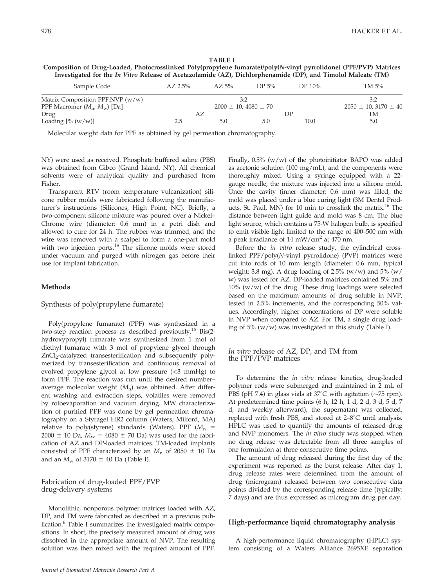| TABLE I                                                                                                            |
|--------------------------------------------------------------------------------------------------------------------|
| Composition of Drug-Loaded, Photocrosslinked Poly(propylene fumarate)/poly(N-vinyl pyrrolidone) (PPF/PVP) Matrices |
| Investigated for the In Vitro Release of Acetazolamide (AZ), Dichlorphenamide (DP), and Timolol Maleate (TM)       |

| Sample Code                        | $AZ 2.5\%$ | AZ.5%                     | DP <sub>5%</sub> | DP 10% | TM 5%                     |
|------------------------------------|------------|---------------------------|------------------|--------|---------------------------|
| Matrix Composition PPF:NVP $(w/w)$ |            | 3:2                       |                  |        | 3:2                       |
| PPF Macromer $(M_n, M_w)$ [Da]     |            | $2000 \pm 10,4080 \pm 70$ |                  |        | $2050 \pm 10,3170 \pm 40$ |
| Drug                               | AZ         |                           |                  | ĐΡ     | TМ                        |
| Loading $[\% (w/w)]$               | 2.5        | 5.0                       | 5.0              | 10.0   | 5.0                       |

Molecular weight data for PPF as obtained by gel permeation chromatography.

NY) were used as received. Phosphate buffered saline (PBS) was obtained from Gibco (Grand Island, NY). All chemical solvents were of analytical quality and purchased from Fisher.

Transparent RTV (room temperature vulcanization) silicone rubber molds were fabricated following the manufacturer's instructions (Silicones, High Point, NC). Briefly, a two-component silicone mixture was poured over a Nickel– Chrome wire (diameter: 0.6 mm) in a petri dish and allowed to cure for 24 h. The rubber was trimmed, and the wire was removed with a scalpel to form a one-part mold with two injection ports.<sup>14</sup> The silicone molds were stored under vacuum and purged with nitrogen gas before their use for implant fabrication.

## **Methods**

Synthesis of poly(propylene fumarate)

Poly(propylene fumarate) (PPF) was synthesized in a two-step reaction process as described previously.15 Bis(2 hydroxypropyl) fumarate was synthesized from 1 mol of diethyl fumarate with 3 mol of propylene glycol through ZnCl<sub>2</sub>-catalyzed transesterification and subsequently polymerized by transesterification and continuous removal of evolved propylene glycol at low pressure (<3 mmHg) to form PPF. The reaction was run until the desired number– average molecular weight  $(M_n)$  was obtained. After different washing and extraction steps, volatiles were removed by rotoevaporation and vacuum drying. MW characterization of purified PPF was done by gel permeation chromatography on a Styragel HR2 column (Waters, Milford, MA) relative to poly(styrene) standards (Waters). PPF ( $M_n$  = 2000  $\pm$  10 Da,  $M_w$  = 4080  $\pm$  70 Da) was used for the fabrication of AZ and DP-loaded matrices. TM-loaded implants consisted of PPF characterized by an  $M_n$  of 2050  $\pm$  10 Da and an  $M_w$  of 3170  $\pm$  40 Da (Table I).

Fabrication of drug-loaded PPF/PVP drug-delivery systems

Monolithic, nonporous polymer matrices loaded with AZ, DP, and TM were fabricated as described in a previous publication.<sup>6</sup> Table I summarizes the investigated matrix compositions. In short, the precisely measured amount of drug was dissolved in the appropriate amount of NVP. The resulting solution was then mixed with the required amount of PPF. Finally,  $0.5\%$  (w/w) of the photoinitiator BAPO was added as acetonic solution (100 mg/mL), and the components were thoroughly mixed. Using a syringe equipped with a 22 gauge needle, the mixture was injected into a silicone mold. Once the cavity (inner diameter: 0.6 mm) was filled, the mold was placed under a blue curing light (3M Dental Products, St. Paul, MN) for 10 min to crosslink the matrix.<sup>16</sup> The distance between light guide and mold was 8 cm. The blue light source, which contains a 75-W halogen bulb, is specified to emit visible light limited to the range of 400–500 nm with a peak irradiance of 14 mW/cm<sup>2</sup> at 470 nm.

Before the in vitro release study, the cylindrical crosslinked PPF/poly(N-vinyl pyrrolidone) (PVP) matrices were cut into rods of 10 mm length (diameter: 0.6 mm, typical weight: 3.8 mg). A drug loading of 2.5% (w/w) and 5% (w/ w) was tested for AZ. DP-loaded matrices contained 5% and 10% (w/w) of the drug. These drug loadings were selected based on the maximum amounts of drug soluble in NVP, tested in 2.5% increments, and the corresponding 50% values. Accordingly, higher concentrations of DP were soluble in NVP when compared to AZ. For TM, a single drug loading of 5% (w/w) was investigated in this study (Table I).

In vitro release of AZ, DP, and TM from the PPF/PVP matrices

To determine the in vitro release kinetics, drug-loaded polymer rods were submerged and maintained in 2 mL of PBS (pH 7.4) in glass vials at 37 $\degree$ C with agitation ( $\sim$ 75 rpm). At predetermined time points (6 h, 12 h, 1 d, 2 d, 3 d, 5 d, 7 d, and weekly afterward), the supernatant was collected, replaced with fresh PBS, and stored at  $2-8^{\circ}C$  until analysis. HPLC was used to quantify the amounts of released drug and NVP monomers. The in vitro study was stopped when no drug release was detectable from all three samples of one formulation at three consecutive time points.

The amount of drug released during the first day of the experiment was reported as the burst release. After day 1, drug release rates were determined from the amount of drug (microgram) released between two consecutive data points divided by the corresponding release time (typically: 7 days) and are thus expressed as microgram drug per day.

#### High-performance liquid chromatography analysis

A high-performance liquid chromatography (HPLC) system consisting of a Waters Alliance 2695XE separation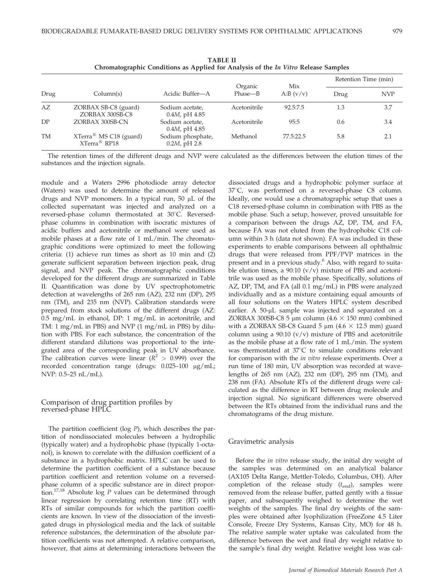|           |                                                  |                                       | Organic      | Mix         | Retention Time (min) |            |
|-----------|--------------------------------------------------|---------------------------------------|--------------|-------------|----------------------|------------|
| Drug      | Column(s)                                        | Acidic Buffer-A                       | Phase—B      | A:B $(v/v)$ | Drug                 | <b>NVP</b> |
| AZ        | ZORBAX SB-C8 (guard)<br>ZORBAX 300SB-C8          | Sodium acetate,<br>$0.4M$ , pH $4.85$ | Acetonitrile | 92.5:7.5    | 1.3                  | 3.7        |
| DP        | ZORBAX 300SB-CN                                  | Sodium acetate,<br>$0.4M$ , pH $4.85$ | Acetonitrile | 95:5        | 0.6                  | 3.4        |
| <b>TM</b> | $XTerra^{R} MS C18 (guard)$<br>$XTerra^{R}$ RP18 | Sodium phosphate,<br>$0.2M$ , pH 2.8  | Methanol     | 77.5:22.5   | 5.8                  | 2.1        |

TABLE II Chromatographic Conditions as Applied for Analysis of the In Vitro Release Samples

The retention times of the different drugs and NVP were calculated as the differences between the elution times of the substances and the injection signals.

module and a Waters 2996 photodiode array detector (Waters) was used to determine the amount of released drugs and NVP monomers. In a typical run,  $50 \mu L$  of the collected supernatant was injected and analyzed on a reversed-phase column thermostated at 30°C. Reversedphase columns in combination with isocratic mixtures of acidic buffers and acetonitrile or methanol were used as mobile phases at a flow rate of 1 mL/min. The chromatographic conditions were optimized to meet the following criteria: (1) achieve run times as short as 10 min and (2) generate sufficient separation between injection peak, drug signal, and NVP peak. The chromatographic conditions developed for the different drugs are summarized in Table II. Quantification was done by UV spectrophotometric detection at wavelengths of 265 nm (AZ), 232 nm (DP), 295 nm (TM), and 235 nm (NVP). Calibration standards were prepared from stock solutions of the different drugs (AZ: 0.5 mg/mL in ethanol, DP: 1 mg/mL in acetonitrile, and TM: 1 mg/mL in PBS) and NVP (1 mg/mL in PBS) by dilution with PBS. For each substance, the concentration of the different standard dilutions was proportional to the integrated area of the corresponding peak in UV absorbance. The calibration curves were linear ( $R^2 > 0.999$ ) over the recorded concentration range (drugs: 0.025-100 µg/mL; NVP: 0.5–25 nL/mL).

Comparison of drug partition profiles by reversed-phase HPLC

The partition coefficient ( $log P$ ), which describes the partition of nondissociated molecules between a hydrophilic (typically water) and a hydrophobic phase (typically 1-octanol), is known to correlate with the diffusion coefficient of a substance in a hydrophobic matrix. HPLC can be used to determine the partition coefficient of a substance because partition coefficient and retention volume on a reversedphase column of a specific substance are in direct proportion.<sup>17,18</sup> Absolute  $\log P$  values can be determined through linear regression by correlating retention time (RT) with RTs of similar compounds for which the partition coefficients are known. In view of the dissociation of the investigated drugs in physiological media and the lack of suitable reference substances, the determination of the absolute partition coefficients was not attempted. A relative comparison, however, that aims at determining interactions between the

dissociated drugs and a hydrophobic polymer surface at 37°C, was performed on a reversed-phase C8 column. Ideally, one would use a chromatographic setup that uses a C18 reversed-phase column in combination with PBS as the mobile phase. Such a setup, however, proved unsuitable for a comparison between the drugs AZ, DP, TM, and FA, because FA was not eluted from the hydrophobic C18 column within 3 h (data not shown). FA was included in these experiments to enable comparisons between all ophthalmic drugs that were released from PPF/PVP matrices in the present and in a previous study.<sup>6</sup> Also, with regard to suitable elution times, a  $90:10$  (v/v) mixture of PBS and acetonitrile was used as the mobile phase. Specifically, solutions of AZ, DP, TM, and FA (all 0.1 mg/mL) in PBS were analyzed individually and as a mixture containing equal amounts of all four solutions on the Waters HPLC system described earlier. A 50-µL sample was injected and separated on a ZORBAX 300SB-C8 5 µm column (4.6  $\times$  150 mm) combined with a ZORBAX SB-C8 Guard 5  $\mu$ m (4.6  $\times$  12.5 mm) guard column using a  $90:10$  (v/v) mixture of PBS and acetonitrile as the mobile phase at a flow rate of 1 mL/min. The system was thermostated at  $37^{\circ}$ C to simulate conditions relevant for comparison with the in vitro release experiments. Over a run time of 180 min, UV absorption was recorded at wavelengths of 265 nm (AZ), 232 nm (DP), 295 nm (TM), and 238 nm (FA). Absolute RTs of the different drugs were calculated as the difference in RT between drug molecule and injection signal. No significant differences were observed between the RTs obtained from the individual runs and the chromatograms of the drug mixture.

#### Gravimetric analysis

Before the in vitro release study, the initial dry weight of the samples was determined on an analytical balance (AX105 Delta Range, Mettler-Toledo, Columbus, OH). After completion of the release study  $(t_{end})$ , samples were removed from the release buffer, patted gently with a tissue paper, and subsequently weighed to determine the wet weights of the samples. The final dry weights of the samples were obtained after lyophilization (FreeZone 4.5 Liter Console, Freeze Dry Systems, Kansas City, MO) for 48 h. The relative sample water uptake was calculated from the difference between the wet and final dry weight relative to the sample's final dry weight. Relative weight loss was cal-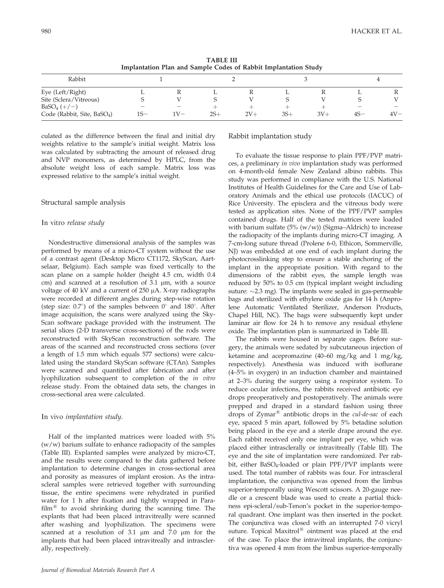| ) |  |  |  |
|---|--|--|--|
|   |  |  |  |

| TADLE III<br>Implantation Plan and Sample Codes of Rabbit Implantation Study |  |  |  |  |  |
|------------------------------------------------------------------------------|--|--|--|--|--|
|                                                                              |  |  |  |  |  |

 $T_{\text{max}}$ 

| Rabbit                                  |       |       |       |       |       |       |       |        |
|-----------------------------------------|-------|-------|-------|-------|-------|-------|-------|--------|
| Eye (Left/Right)                        | ∸     | 17    |       |       | ∸     |       |       | л      |
| Site (Sclera/Vitreous)                  |       |       |       |       |       |       |       |        |
| $BaSO_4 (+/-)$                          |       |       |       |       |       |       | —     | —      |
| Code (Rabbit, Site, BaSO <sub>4</sub> ) | $1S-$ | $V -$ | $2S+$ | $2V+$ | $3S+$ | $3V+$ | $4S-$ | $4V -$ |

culated as the difference between the final and initial dry weights relative to the sample's initial weight. Matrix loss was calculated by subtracting the amount of released drug and NVP monomers, as determined by HPLC, from the absolute weight loss of each sample. Matrix loss was expressed relative to the sample's initial weight.

## Structural sample analysis

## In vitro release study

Nondestructive dimensional analysis of the samples was performed by means of a micro-CT system without the use of a contrast agent (Desktop Micro CT1172, SkyScan, Aartselaar, Belgium). Each sample was fixed vertically to the scan plane on a sample holder (height 4.5 cm, width 0.4 cm) and scanned at a resolution of  $3.1 \mu m$ , with a source voltage of 40 kV and a current of 250 µA. X-ray radiographs were recorded at different angles during step-wise rotation (step size:  $0.7^{\circ}$ ) of the samples between  $0^{\circ}$  and  $180^{\circ}$ . After image acquisition, the scans were analyzed using the Sky-Scan software package provided with the instrument. The serial slices (2-D transverse cross-sections) of the rods were reconstructed with SkyScan reconstruction software. The areas of the scanned and reconstructed cross sections (over a length of 1.5 mm which equals 577 sections) were calculated using the standard SkyScan software (CTAn). Samples were scanned and quantified after fabrication and after lyophilization subsequent to completion of the in vitro release study. From the obtained data sets, the changes in cross-sectional area were calculated.

## In vivo implantation study.

Half of the implanted matrices were loaded with 5%  $(w/w)$  barium sulfate to enhance radiopacity of the samples (Table III). Explanted samples were analyzed by micro-CT, and the results were compared to the data gathered before implantation to determine changes in cross-sectional area and porosity as measures of implant erosion. As the intrascleral samples were retrieved together with surrounding tissue, the entire specimens were rehydrated in purified water for 1 h after fixation and tightly wrapped in Para $film<sup>®</sup>$  to avoid shrinking during the scanning time. The explants that had been placed intravitreally were scanned after washing and lyophilization. The specimens were scanned at a resolution of  $3.1 \mu m$  and  $7.0 \mu m$  for the implants that had been placed intravitreally and intrasclerally, respectively.

## Rabbit implantation study

To evaluate the tissue response to plain PPF/PVP matrices, a preliminary in vivo implantation study was performed on 4-month-old female New Zealand albino rabbits. This study was performed in compliance with the U.S. National Institutes of Health Guidelines for the Care and Use of Laboratory Animals and the ethical use protocols (IACUC) of Rice University. The episclera and the vitreous body were tested as application sites. None of the PPF/PVP samples contained drugs. Half of the tested matrices were loaded with barium sulfate  $(5\% (w/w))$  (Sigma–Aldrich) to increase the radiopacity of the implants during micro-CT imaging. A 7-cm-long suture thread (Prolene 6-0, Ethicon, Sommerville, NJ) was embedded at one end of each implant during the photocrosslinking step to ensure a stable anchoring of the implant in the appropriate position. With regard to the dimensions of the rabbit eyes, the sample length was reduced by 50% to 0.5 cm (typical implant weight including suture:  $\sim$ 2.3 mg). The implants were sealed in gas-permeable bags and sterilized with ethylene oxide gas for 14 h (Anprolene Automatic Ventilated Sterilizer, Anderson Products, Chapel Hill, NC). The bags were subsequently kept under laminar air flow for 24 h to remove any residual ethylene oxide. The implantation plan is summarized in Table III.

The rabbits were housed in separate cages. Before surgery, the animals were sedated by subcutaneous injection of ketamine and acepromazine (40–60 mg/kg and 1 mg/kg, respectively). Anesthesia was induced with isoflurane (4–5% in oxygen) in an induction chamber and maintained at 2–3% during the surgery using a respirator system. To reduce ocular infections, the rabbits received antibiotic eye drops preoperatively and postoperatively. The animals were prepped and draped in a standard fashion using three drops of  $Zymar^{\textcircled{\tiny R}}$  antibiotic drops in the *cul-de-sac* of each eye, spaced 5 min apart, followed by 5% betadine solution being placed in the eye and a sterile drape around the eye. Each rabbit received only one implant per eye, which was placed either intrasclerally or intravitreally (Table III). The eye and the site of implantation were randomized. Per rabbit, either BaSO<sub>4</sub>-loaded or plain PPF/PVP implants were used. The total number of rabbits was four. For intrascleral implantation, the conjunctiva was opened from the limbus superior-temporally using Wescott scissors. A 20-gauge needle or a crescent blade was used to create a partial thickness epi-scleral/sub-Tenon's pocket in the superior-temporal quadrant. One implant was then inserted in the pocket. The conjunctiva was closed with an interrupted 7-0 vicryl suture. Topical Maxitrol $^{(8)}$  ointment was placed at the end of the case. To place the intravitreal implants, the conjunctiva was opened 4 mm from the limbus superior-temporally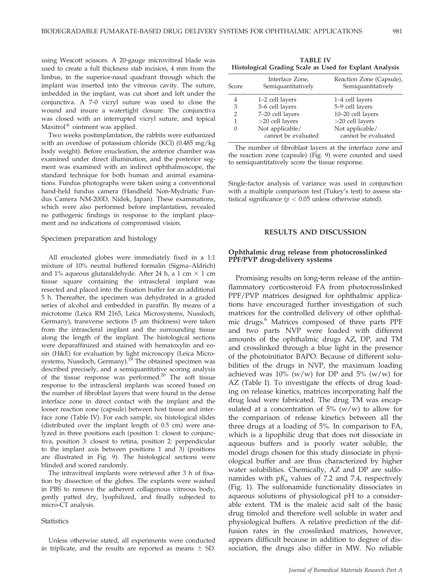using Wescott scissors. A 20-gauge microvitreal blade was used to create a full thickness stab incision, 4 mm from the limbus, in the superior-nasal quadrant through which the implant was inserted into the vitreous cavity. The suture, imbedded in the implant, was cut short and left under the conjunctiva. A 7-0 vicryl suture was used to close the wound and insure a watertight closure. The conjunctiva was closed with an interrupted vicryl suture, and topical Maxitrol $<sup>®</sup>$  ointment was applied.</sup>

Two weeks postimplantation, the rabbits were euthanized with an overdose of potassium chloride (KCl) (0.485 mg/kg body weight). Before enucleation, the anterior chamber was examined under direct illumination, and the posterior segment was examined with an indirect ophthalmoscope, the standard technique for both human and animal examinations. Fundus photographs were taken using a conventional hand-held fundus camera (Handheld Non-Mydriatic Fundus Camera NM-200D, Nidek, Japan). These examinations, which were also performed before implantation, revealed no pathogenic findings in response to the implant placement and no indications of compromised vision.

#### Specimen preparation and histology

All enucleated globes were immediately fixed in a 1:1 mixture of 10% neutral buffered formalin (Sigma–Aldrich) and 1% aqueous glutaraldehyde. After 24 h, a 1 cm  $\times$  1 cm tissue square containing the intrascleral implant was resected and placed into the fixation buffer for an additional 5 h. Thereafter, the specimen was dehydrated in a graded series of alcohol and embedded in paraffin. By means of a microtome (Leica RM 2165, Leica Microsystems, Nussloch, Germany), transverse sections  $(5 \mu m)$  thickness) were taken from the intrascleral implant and the surrounding tissue along the length of the implant. The histological sections were deparaffinized and stained with hematoxylin and eosin (H&E) for evaluation by light microscopy (Leica Microsystems, Nussloch, Germany).<sup>19</sup> The obtained specimen was described precisely, and a semiquantitative scoring analysis of the tissue response was performed.20 The soft tissue response to the intrascleral implants was scored based on the number of fibroblast layers that were found in the dense interface zone in direct contact with the implant and the looser reaction zone (capsule) between host tissue and interface zone (Table IV). For each sample, six histological slides (distributed over the implant length of 0.5 cm) were analyzed in three positions each (position 1: closest to conjunctiva, position 3: closest to retina, position 2: perpendicular to the implant axis between positions 1 and 3) (positions are illustrated in Fig. 9). The histological sections were blinded and scored randomly.

The intravitreal implants were retrieved after 3 h of fixation by dissection of the globes. The explants were washed in PBS to remove the adherent collagenous vitreous body, gently patted dry, lyophilized, and finally subjected to micro-CT analysis.

#### **Statistics**

Unless otherwise stated, all experiments were conducted in triplicate, and the results are reported as means  $\pm$  SD.

| <b>TABLE IV</b>                                         |  |  |  |  |  |  |  |
|---------------------------------------------------------|--|--|--|--|--|--|--|
| Histological Grading Scale as Used for Explant Analysis |  |  |  |  |  |  |  |

| Score | Interface Zone,<br>Semiquantitatively  | Reaction Zone (Capsule),<br>Semiquantitatively |
|-------|----------------------------------------|------------------------------------------------|
| 4     | 1–2 cell layers                        | 1–4 cell layers                                |
| 3     | 3-6 cell layers                        | 5-9 cell layers                                |
| 2     | 7-20 cell layers                       | 10-20 cell layers                              |
| 1     | $>20$ cell layers                      | $>20$ cell layers                              |
|       | Not applicable/<br>cannot be evaluated | Not applicable/<br>cannot be evaluated         |

The number of fibroblast layers at the interface zone and the reaction zone (capsule) (Fig. 9) were counted and used to semiquantitatively score the tissue response.

Single-factor analysis of variance was used in conjunction with a multiple comparison test (Tukey's test) to assess statistical significance ( $p < 0.05$  unless otherwise stated).

#### RESULTS AND DISCUSSION

#### Ophthalmic drug release from photocrosslinked PPF/PVP drug-delivery systems

Promising results on long-term release of the antiinflammatory corticosteroid FA from photocrosslinked PPF/PVP matrices designed for ophthalmic applications have encouraged further investigation of such matrices for the controlled delivery of other ophthalmic drugs.<sup>6</sup> Matrices composed of three parts PPF and two parts NVP were loaded with different amounts of the ophthalmic drugs AZ, DP, and TM and crosslinked through a blue light in the presence of the photoinitiator BAPO. Because of different solubilities of the drugs in NVP, the maximum loading achieved was 10% (w/w) for DP and  $5\%$  (w/w) for AZ (Table I). To investigate the effects of drug loading on release kinetics, matrices incorporating half the drug load were fabricated. The drug TM was encapsulated at a concentration of  $5\%$  (w/w) to allow for the comparison of release kinetics between all the three drugs at a loading of 5%. In comparison to FA, which is a lipophilic drug that does not dissociate in aqueous buffers and is poorly water soluble, the model drugs chosen for this study dissociate in physiological buffer and are thus characterized by higher water solubilities. Chemically, AZ and DP are sulfonamides with  $pK_a$  values of 7.2 and 7.4, respectively (Fig. 1). The sulfonamide functionality dissociates in aqueous solutions of physiological pH to a considerable extent. TM is the maleic acid salt of the basic drug timolol and therefore well soluble in water and physiological buffers. A relative prediction of the diffusion rates in the crosslinked matrices, however, appears difficult because in addition to degree of dissociation, the drugs also differ in MW. No reliable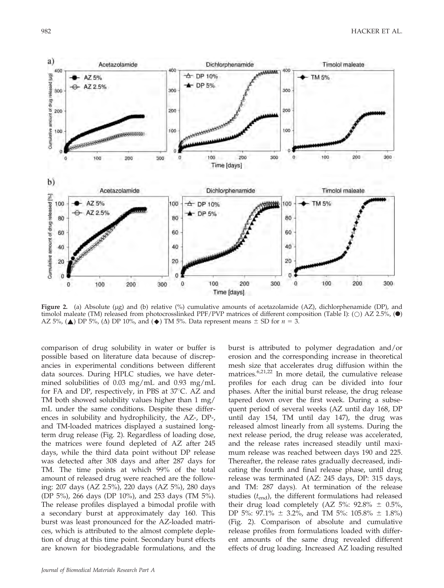

Figure 2. (a) Absolute (µg) and (b) relative (%) cumulative amounts of acetazolamide (AZ), dichlorphenamide (DP), and timolol maleate (TM) released from photocrosslinked PPF/PVP matrices of different composition (Table I): ( $\bigcirc$ ) AZ 2.5%, ( $\bullet$ ) AZ 5%, ( $\triangle$ ) DP 5%, ( $\triangle$ ) DP 10%, and ( $\triangle$ ) TM 5%. Data represent means  $\pm$  SD for  $n = 3$ .

comparison of drug solubility in water or buffer is possible based on literature data because of discrepancies in experimental conditions between different data sources. During HPLC studies, we have determined solubilities of 0.03 mg/mL and 0.93 mg/mL for FA and DP, respectively, in PBS at  $37^{\circ}$ C. AZ and TM both showed solubility values higher than 1 mg/ mL under the same conditions. Despite these differences in solubility and hydrophilicity, the AZ-, DP-, and TM-loaded matrices displayed a sustained longterm drug release (Fig. 2). Regardless of loading dose, the matrices were found depleted of AZ after 245 days, while the third data point without DP release was detected after 308 days and after 287 days for TM. The time points at which 99% of the total amount of released drug were reached are the following: 207 days (AZ 2.5%), 220 days (AZ 5%), 280 days (DP 5%), 266 days (DP 10%), and 253 days (TM 5%). The release profiles displayed a bimodal profile with a secondary burst at approximately day 160. This burst was least pronounced for the AZ-loaded matrices, which is attributed to the almost complete depletion of drug at this time point. Secondary burst effects are known for biodegradable formulations, and the burst is attributed to polymer degradation and/or erosion and the corresponding increase in theoretical mesh size that accelerates drug diffusion within the matrices.6,21,22 In more detail, the cumulative release profiles for each drug can be divided into four phases. After the initial burst release, the drug release tapered down over the first week. During a subsequent period of several weeks (AZ until day 168, DP until day 154, TM until day 147), the drug was released almost linearly from all systems. During the next release period, the drug release was accelerated, and the release rates increased steadily until maximum release was reached between days 190 and 225. Thereafter, the release rates gradually decreased, indicating the fourth and final release phase, until drug release was terminated (AZ: 245 days, DP: 315 days, and TM: 287 days). At termination of the release studies  $(t_{\text{end}})$ , the different formulations had released their drug load completely (AZ 5%:  $92.8\% \pm 0.5\%$ , DP 5%: 97.1%  $\pm$  3.2%, and TM 5%: 105.8%  $\pm$  1.8%) (Fig. 2). Comparison of absolute and cumulative release profiles from formulations loaded with different amounts of the same drug revealed different effects of drug loading. Increased AZ loading resulted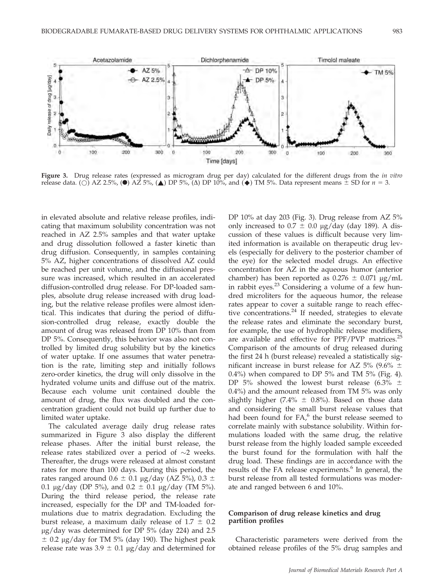

Daily release of drug [ug/day]  $\theta$ 200 300  $\overline{0}$ 100  $\theta$ 100 200 300 D. 100 200 300 Time [days]

Figure 3. Drug release rates (expressed as microgram drug per day) calculated for the different drugs from the in vitro release data. ( $\circ$ ) AZ 2.5%, ( $\bullet$ ) AZ 5%, ( $\triangle$ ) DP 5%, ( $\triangle$ ) DP 10%, and ( $\bullet$ ) TM 5%. Data represent means  $\pm$  SD for  $n = 3$ .

in elevated absolute and relative release profiles, indicating that maximum solubility concentration was not reached in AZ 2.5% samples and that water uptake and drug dissolution followed a faster kinetic than drug diffusion. Consequently, in samples containing 5% AZ, higher concentrations of dissolved AZ could be reached per unit volume, and the diffusional pressure was increased, which resulted in an accelerated diffusion-controlled drug release. For DP-loaded samples, absolute drug release increased with drug loading, but the relative release profiles were almost identical. This indicates that during the period of diffusion-controlled drug release, exactly double the amount of drug was released from DP 10% than from DP 5%. Consequently, this behavior was also not controlled by limited drug solubility but by the kinetics of water uptake. If one assumes that water penetration is the rate, limiting step and initially follows zero-order kinetics, the drug will only dissolve in the hydrated volume units and diffuse out of the matrix. Because each volume unit contained double the amount of drug, the flux was doubled and the concentration gradient could not build up further due to limited water uptake.

5

 $\overline{3}$ 

Þ

The calculated average daily drug release rates summarized in Figure 3 also display the different release phases. After the initial burst release, the release rates stabilized over a period of  $\sim$ 2 weeks. Thereafter, the drugs were released at almost constant rates for more than 100 days. During this period, the rates ranged around  $0.6 \pm 0.1$  µg/day (AZ 5%), 0.3  $\pm$ 0.1  $\mu$ g/day (DP 5%), and 0.2  $\pm$  0.1  $\mu$ g/day (TM 5%). During the third release period, the release rate increased, especially for the DP and TM-loaded formulations due to matrix degradation. Excluding the burst release, a maximum daily release of  $1.7 \pm 0.2$  $\mu$ g/day was determined for DP 5% (day 224) and 2.5  $\pm$  0.2 µg/day for TM 5% (day 190). The highest peak release rate was  $3.9 \pm 0.1 \mu g/day$  and determined for

DP 10% at day 203 (Fig. 3). Drug release from AZ 5% only increased to  $0.7 \pm 0.0$  µg/day (day 189). A discussion of these values is difficult because very limited information is available on therapeutic drug levels (especially for delivery to the posterior chamber of the eye) for the selected model drugs. An effective concentration for AZ in the aqueous humor (anterior chamber) has been reported as  $0.276 \pm 0.071$  µg/mL in rabbit eyes. $23$  Considering a volume of a few hundred microliters for the aqueous humor, the release rates appear to cover a suitable range to reach effective concentrations.<sup>24</sup> If needed, strategies to elevate the release rates and eliminate the secondary burst, for example, the use of hydrophilic release modifiers, are available and effective for  $PPF/PVP$  matrices.<sup>25</sup> Comparison of the amounts of drug released during the first 24 h (burst release) revealed a statistically significant increase in burst release for AZ 5% (9.6%  $\pm$  $0.4\%$ ) when compared to DP 5% and TM 5% (Fig. 4). DP 5% showed the lowest burst release (6.3%  $\pm$ 0.4%) and the amount released from TM 5% was only slightly higher (7.4%  $\pm$  0.8%). Based on those data and considering the small burst release values that had been found for  $FA$ , the burst release seemed to correlate mainly with substance solubility. Within formulations loaded with the same drug, the relative burst release from the highly loaded sample exceeded the burst found for the formulation with half the drug load. These findings are in accordance with the results of the FA release experiments.<sup>6</sup> In general, the burst release from all tested formulations was moderate and ranged between 6 and 10%.

## Comparison of drug release kinetics and drug partition profiles

Characteristic parameters were derived from the obtained release profiles of the 5% drug samples and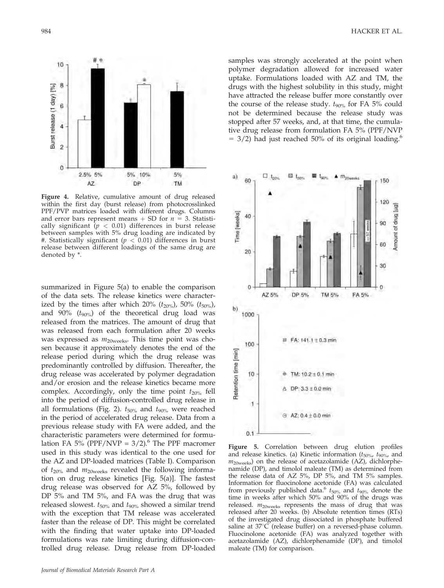

Figure 4. Relative, cumulative amount of drug released within the first day (burst release) from photocrosslinked PPF/PVP matrices loaded with different drugs. Columns and error bars represent means  $+$  SD for  $n = 3$ . Statistically significant  $(p < 0.01)$  differences in burst release between samples with 5% drug loading are indicated by #. Statistically significant ( $p < 0.01$ ) differences in burst release between different loadings of the same drug are denoted by \*.

summarized in Figure 5(a) to enable the comparison of the data sets. The release kinetics were characterized by the times after which 20%  $(t_{20\%})$ , 50%  $(t_{50\%})$ , and 90%  $(t_{90\%})$  of the theoretical drug load was released from the matrices. The amount of drug that was released from each formulation after 20 weeks was expressed as  $m_{20\text{weeks}}$ . This time point was chosen because it approximately denotes the end of the release period during which the drug release was predominantly controlled by diffusion. Thereafter, the drug release was accelerated by polymer degradation and/or erosion and the release kinetics became more complex. Accordingly, only the time point  $t_{20\%}$  fell into the period of diffusion-controlled drug release in all formulations (Fig. 2).  $t_{50\%}$  and  $t_{90\%}$  were reached in the period of accelerated drug release. Data from a previous release study with FA were added, and the characteristic parameters were determined for formulation FA 5% (PPF/NVP =  $3/2$ ).<sup>6</sup> The PPF macromer used in this study was identical to the one used for the AZ and DP-loaded matrices (Table I). Comparison of  $t_{20\%}$  and  $m_{20\%}$  revealed the following information on drug release kinetics [Fig. 5(a)]. The fastest drug release was observed for AZ 5%, followed by DP 5% and TM 5%, and FA was the drug that was released slowest.  $t_{50\%}$  and  $t_{90\%}$  showed a similar trend with the exception that TM release was accelerated faster than the release of DP. This might be correlated with the finding that water uptake into DP-loaded formulations was rate limiting during diffusion-controlled drug release. Drug release from DP-loaded samples was strongly accelerated at the point when polymer degradation allowed for increased water uptake. Formulations loaded with AZ and TM, the drugs with the highest solubility in this study, might have attracted the release buffer more constantly over the course of the release study.  $t_{90\%}$  for FA 5% could not be determined because the release study was stopped after 57 weeks, and, at that time, the cumulative drug release from formulation FA 5% (PPF/NVP  $=$  3/2) had just reached 50% of its original loading.<sup>6</sup>



Figure 5. Correlation between drug elution profiles and release kinetics. (a) Kinetic information  $(t_{50\%}, t_{90\%}, \text{and})$  $m_{20 \text{ weeks}}$ ) on the release of acetazolamide (AZ), dichlorphenamide (DP), and timolol maleate (TM) as determined from the release data of AZ 5%, DP 5%, and TM 5% samples. Information for fluocinolone acetonide (FA) was calculated from previously published data.<sup>6</sup>  $t_{50\%}$  and  $t_{90\%}$  denote the time in weeks after which 50% and 90% of the drugs was released.  $m_{20 \text{ weeks}}$  represents the mass of drug that was released after 20 weeks. (b) Absolute retention times (RTs) of the investigated drug dissociated in phosphate buffered saline at  $37^{\circ}$ C (release buffer) on a reversed-phase column. Fluocinolone acetonide (FA) was analyzed together with acetazolamide (AZ), dichlorphenamide (DP), and timolol maleate (TM) for comparison.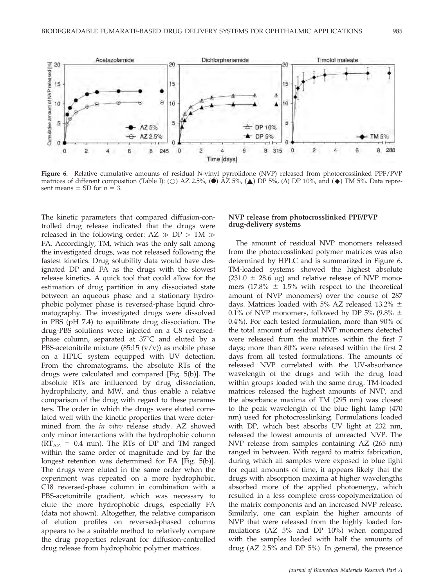

Figure 6. Relative cumulative amounts of residual N-vinyl pyrrolidone (NVP) released from photocrosslinked PPF/PVP matrices of different composition (Table I): (O) AZ 2.5%, ( $\triangle$ ) AZ 5%, ( $\triangle$ ) DP 5%, ( $\triangle$ ) DP 10%, and ( $\blacklozenge$ ) TM 5%. Data represent means  $\pm$  SD for  $n = 3$ .

The kinetic parameters that compared diffusion-controlled drug release indicated that the drugs were released in the following order:  $AZ \gg DP > TM \gg$ FA. Accordingly, TM, which was the only salt among the investigated drugs, was not released following the fastest kinetics. Drug solubility data would have designated DP and FA as the drugs with the slowest release kinetics. A quick tool that could allow for the estimation of drug partition in any dissociated state between an aqueous phase and a stationary hydrophobic polymer phase is reversed-phase liquid chromatography. The investigated drugs were dissolved in PBS (pH 7.4) to equilibrate drug dissociation. The drug-PBS solutions were injected on a C8 reversedphase column, separated at  $37^{\circ}$ C and eluted by a PBS-acetonitrile mixture  $(85:15 \, (v/v))$  as mobile phase on a HPLC system equipped with UV detection. From the chromatograms, the absolute RTs of the drugs were calculated and compared [Fig. 5(b)]. The absolute RTs are influenced by drug dissociation, hydrophilicity, and MW, and thus enable a relative comparison of the drug with regard to these parameters. The order in which the drugs were eluted correlated well with the kinetic properties that were determined from the in vitro release study. AZ showed only minor interactions with the hydrophobic column  $(RT<sub>AZ</sub> = 0.4$  min). The RTs of DP and TM ranged within the same order of magnitude and by far the longest retention was determined for FA [Fig. 5(b)]. The drugs were eluted in the same order when the experiment was repeated on a more hydrophobic, C18 reversed-phase column in combination with a PBS-acetonitrile gradient, which was necessary to elute the more hydrophobic drugs, especially FA (data not shown). Altogether, the relative comparison of elution profiles on reversed-phased columns appears to be a suitable method to relatively compare the drug properties relevant for diffusion-controlled drug release from hydrophobic polymer matrices.

## NVP release from photocrosslinked PPF/PVP drug-delivery systems

The amount of residual NVP monomers released from the photocrosslinked polymer matrices was also determined by HPLC and is summarized in Figure 6. TM-loaded systems showed the highest absolute  $(231.0 \pm 28.6 \mu g)$  and relative release of NVP monomers (17.8%  $\pm$  1.5% with respect to the theoretical amount of NVP monomers) over the course of 287 days. Matrices loaded with 5% AZ released 13.2%  $\pm$ 0.1% of NVP monomers, followed by DP 5% (9.8%  $\pm$ 0.4%). For each tested formulation, more than 90% of the total amount of residual NVP monomers detected were released from the matrices within the first 7 days; more than 80% were released within the first 2 days from all tested formulations. The amounts of released NVP correlated with the UV-absorbance wavelength of the drugs and with the drug load within groups loaded with the same drug. TM-loaded matrices released the highest amounts of NVP, and the absorbance maxima of TM (295 nm) was closest to the peak wavelength of the blue light lamp (470 nm) used for photocrosslinking. Formulations loaded with DP, which best absorbs UV light at 232 nm, released the lowest amounts of unreacted NVP. The NVP release from samples containing AZ (265 nm) ranged in between. With regard to matrix fabrication, during which all samples were exposed to blue light for equal amounts of time, it appears likely that the drugs with absorption maxima at higher wavelengths absorbed more of the applied photoenergy, which resulted in a less complete cross-copolymerization of the matrix components and an increased NVP release. Similarly, one can explain the higher amounts of NVP that were released from the highly loaded formulations (AZ 5% and DP 10%) when compared with the samples loaded with half the amounts of drug (AZ 2.5% and DP 5%). In general, the presence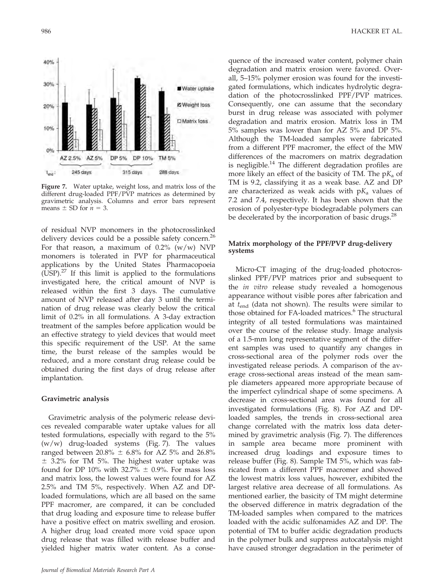

Figure 7. Water uptake, weight loss, and matrix loss of the different drug-loaded PPF/PVP matrices as determined by gravimetric analysis. Columns and error bars represent means  $\pm$  SD for  $n = 3$ .

of residual NVP monomers in the photocrosslinked delivery devices could be a possible safety concern.<sup>26</sup> For that reason, a maximum of  $0.2\%$  (w/w) NVP monomers is tolerated in PVP for pharmaceutical applications by the United States Pharmacopoeia  $(USP).<sup>27</sup>$  If this limit is applied to the formulations investigated here, the critical amount of NVP is released within the first 3 days. The cumulative amount of NVP released after day 3 until the termination of drug release was clearly below the critical limit of 0.2% in all formulations. A 3-day extraction treatment of the samples before application would be an effective strategy to yield devices that would meet this specific requirement of the USP. At the same time, the burst release of the samples would be reduced, and a more constant drug release could be obtained during the first days of drug release after implantation.

#### Gravimetric analysis

Gravimetric analysis of the polymeric release devices revealed comparable water uptake values for all tested formulations, especially with regard to the 5%  $(w/w)$  drug-loaded systems (Fig. 7). The values ranged between 20.8%  $\pm$  6.8% for AZ 5% and 26.8%  $±$  3.2% for TM 5%. The highest water uptake was found for DP 10% with 32.7%  $\pm$  0.9%. For mass loss and matrix loss, the lowest values were found for AZ 2.5% and TM 5%, respectively. When AZ and DPloaded formulations, which are all based on the same PPF macromer, are compared, it can be concluded that drug loading and exposure time to release buffer have a positive effect on matrix swelling and erosion. A higher drug load created more void space upon drug release that was filled with release buffer and yielded higher matrix water content. As a consequence of the increased water content, polymer chain degradation and matrix erosion were favored. Overall, 5–15% polymer erosion was found for the investigated formulations, which indicates hydrolytic degradation of the photocrosslinked PPF/PVP matrices. Consequently, one can assume that the secondary burst in drug release was associated with polymer degradation and matrix erosion. Matrix loss in TM 5% samples was lower than for AZ 5% and DP 5%. Although the TM-loaded samples were fabricated from a different PPF macromer, the effect of the MW differences of the macromers on matrix degradation is negligible. $14$  The different degradation profiles are more likely an effect of the basicity of TM. The  $pK_a$  of TM is 9.2, classifying it as a weak base. AZ and DP are characterized as weak acids with  $pK_a$  values of 7.2 and 7.4, respectively. It has been shown that the erosion of polyester-type biodegradable polymers can be decelerated by the incorporation of basic drugs.<sup>28</sup>

## Matrix morphology of the PPF/PVP drug-delivery systems

Micro-CT imaging of the drug-loaded photocrosslinked PPF/PVP matrices prior and subsequent to the *in vitro* release study revealed a homogenous appearance without visible pores after fabrication and at  $t_{\text{end}}$  (data not shown). The results were similar to those obtained for FA-loaded matrices.<sup>6</sup> The structural integrity of all tested formulations was maintained over the course of the release study. Image analysis of a 1.5-mm long representative segment of the different samples was used to quantify any changes in cross-sectional area of the polymer rods over the investigated release periods. A comparison of the average cross-sectional areas instead of the mean sample diameters appeared more appropriate because of the imperfect cylindrical shape of some specimens. A decrease in cross-sectional area was found for all investigated formulations (Fig. 8). For AZ and DPloaded samples, the trends in cross-sectional area change correlated with the matrix loss data determined by gravimetric analysis (Fig. 7). The differences in sample area became more prominent with increased drug loadings and exposure times to release buffer (Fig. 8). Sample TM 5%, which was fabricated from a different PPF macromer and showed the lowest matrix loss values, however, exhibited the largest relative area decrease of all formulations. As mentioned earlier, the basicity of TM might determine the observed difference in matrix degradation of the TM-loaded samples when compared to the matrices loaded with the acidic sulfonamides AZ and DP. The potential of TM to buffer acidic degradation products in the polymer bulk and suppress autocatalysis might have caused stronger degradation in the perimeter of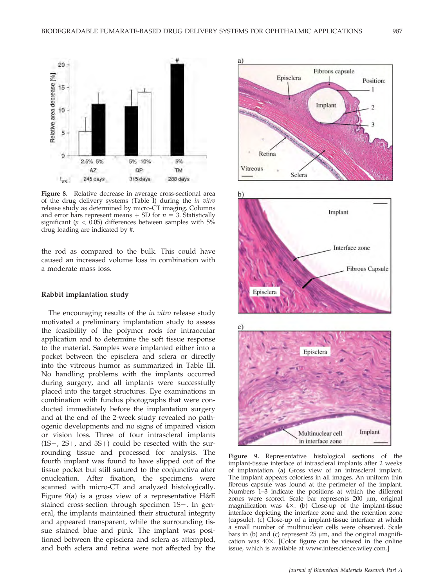

Figure 8. Relative decrease in average cross-sectional area of the drug delivery systems (Table I) during the in vitro release study as determined by micro-CT imaging. Columns and error bars represent means  $+$  SD for  $n = 3$ . Statistically significant ( $p < 0.05$ ) differences between samples with 5% drug loading are indicated by #.

the rod as compared to the bulk. This could have caused an increased volume loss in combination with a moderate mass loss.

## Rabbit implantation study

The encouraging results of the *in vitro* release study motivated a preliminary implantation study to assess the feasibility of the polymer rods for intraocular application and to determine the soft tissue response to the material. Samples were implanted either into a pocket between the episclera and sclera or directly into the vitreous humor as summarized in Table III. No handling problems with the implants occurred during surgery, and all implants were successfully placed into the target structures. Eye examinations in combination with fundus photographs that were conducted immediately before the implantation surgery and at the end of the 2-week study revealed no pathogenic developments and no signs of impaired vision or vision loss. Three of four intrascleral implants  $(1S-, 2S+,$  and  $3S+)$  could be resected with the surrounding tissue and processed for analysis. The fourth implant was found to have slipped out of the tissue pocket but still sutured to the conjunctiva after enucleation. After fixation, the specimens were scanned with micro-CT and analyzed histologically. Figure 9(a) is a gross view of a representative H&E stained cross-section through specimen  $1S-$ . In general, the implants maintained their structural integrity and appeared transparent, while the surrounding tissue stained blue and pink. The implant was positioned between the episclera and sclera as attempted, and both sclera and retina were not affected by the



Figure 9. Representative histological sections of the implant-tissue interface of intrascleral implants after 2 weeks of implantation. (a) Gross view of an intrascleral implant. The implant appears colorless in all images. An uniform thin fibrous capsule was found at the perimeter of the implant. Numbers 1–3 indicate the positions at which the different zones were scored. Scale bar represents 200 µm, original magnification was  $4\times$ . (b) Close-up of the implant-tissue interface depicting the interface zone and the retention zone (capsule). (c) Close-up of a implant-tissue interface at which a small number of multinuclear cells were observed. Scale bars in (b) and (c) represent  $25 \mu m$ , and the original magnification was  $40\times$ . [Color figure can be viewed in the online issue, which is available at www.interscience.wiley.com.]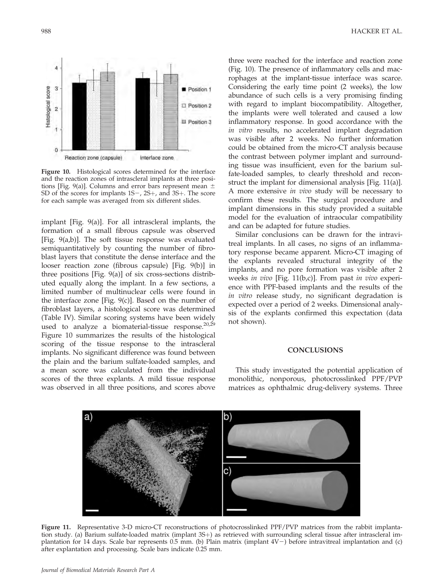

Figure 10. Histological scores determined for the interface and the reaction zones of intrascleral implants at three positions [Fig. 9(a)]. Columns and error bars represent mean  $\pm$ SD of the scores for implants  $1S$ –,  $2S$ +, and  $3S$ +. The score for each sample was averaged from six different slides.

implant [Fig. 9(a)]. For all intrascleral implants, the formation of a small fibrous capsule was observed [Fig. 9(a,b)]. The soft tissue response was evaluated semiquantitatively by counting the number of fibroblast layers that constitute the dense interface and the looser reaction zone (fibrous capsule) [Fig. 9(b)] in three positions [Fig. 9(a)] of six cross-sections distributed equally along the implant. In a few sections, a limited number of multinuclear cells were found in the interface zone [Fig.  $9(c)$ ]. Based on the number of fibroblast layers, a histological score was determined (Table IV). Similar scoring systems have been widely used to analyze a biomaterial-tissue response. $20,29$ Figure 10 summarizes the results of the histological scoring of the tissue response to the intrascleral implants. No significant difference was found between the plain and the barium sulfate-loaded samples, and a mean score was calculated from the individual scores of the three explants. A mild tissue response was observed in all three positions, and scores above

three were reached for the interface and reaction zone (Fig. 10). The presence of inflammatory cells and macrophages at the implant-tissue interface was scarce. Considering the early time point (2 weeks), the low abundance of such cells is a very promising finding with regard to implant biocompatibility. Altogether, the implants were well tolerated and caused a low inflammatory response. In good accordance with the in vitro results, no accelerated implant degradation was visible after 2 weeks. No further information could be obtained from the micro-CT analysis because the contrast between polymer implant and surrounding tissue was insufficient, even for the barium sulfate-loaded samples, to clearly threshold and reconstruct the implant for dimensional analysis [Fig. 11(a)]. A more extensive in vivo study will be necessary to confirm these results. The surgical procedure and implant dimensions in this study provided a suitable model for the evaluation of intraocular compatibility and can be adapted for future studies.

Similar conclusions can be drawn for the intravitreal implants. In all cases, no signs of an inflammatory response became apparent. Micro-CT imaging of the explants revealed structural integrity of the implants, and no pore formation was visible after 2 weeks in vivo [Fig. 11(b,c)]. From past in vivo experience with PPF-based implants and the results of the in vitro release study, no significant degradation is expected over a period of 2 weeks. Dimensional analysis of the explants confirmed this expectation (data not shown).

## **CONCLUSIONS**

This study investigated the potential application of monolithic, nonporous, photocrosslinked PPF/PVP matrices as ophthalmic drug-delivery systems. Three



Figure 11. Representative 3-D micro-CT reconstructions of photocrosslinked PPF/PVP matrices from the rabbit implantation study. (a) Barium sulfate-loaded matrix (implant 3S+) as retrieved with surrounding scleral tissue after intrascleral implantation for 14 days. Scale bar represents  $0.5$  mm. (b) Plain matrix (implant  $4V-$ ) before intravitreal implantation and (c) after explantation and processing. Scale bars indicate 0.25 mm.